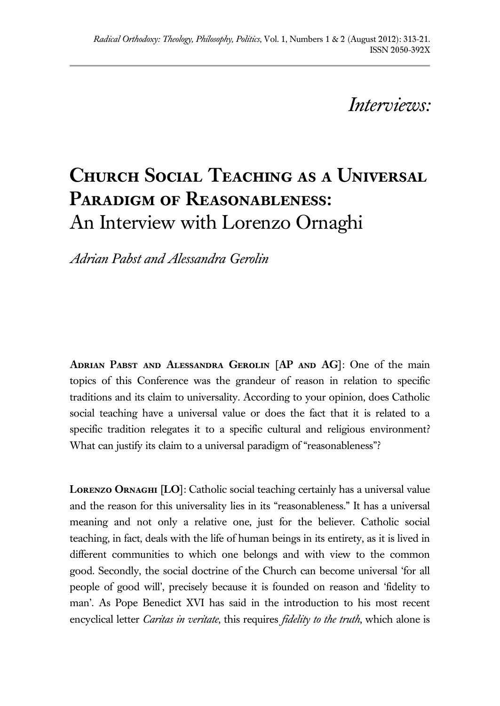## *Interviews:*

## **Church Social Teaching as a Universal Paradigm of Reasonableness:**  An Interview with Lorenzo Ornaghi

*Adrian Pabst and Alessandra Gerolin*

**Adrian Pabst and Alessandra Gerolin [AP and AG]**: One of the main topics of this Conference was the grandeur of reason in relation to specific traditions and its claim to universality. According to your opinion, does Catholic social teaching have a universal value or does the fact that it is related to a specific tradition relegates it to a specific cultural and religious environment? What can justify its claim to a universal paradigm of "reasonableness"?

**Lorenzo Ornaghi [LO]**: Catholic social teaching certainly has a universal value and the reason for this universality lies in its "reasonableness." It has a universal meaning and not only a relative one, just for the believer. Catholic social teaching, in fact, deals with the life of human beings in its entirety, as it is lived in different communities to which one belongs and with view to the common good. Secondly, the social doctrine of the Church can become universal 'for all people of good will', precisely because it is founded on reason and 'fidelity to man'. As Pope Benedict XVI has said in the introduction to his most recent encyclical letter *Caritas in veritate*, this requires *fidelity to the truth*, which alone is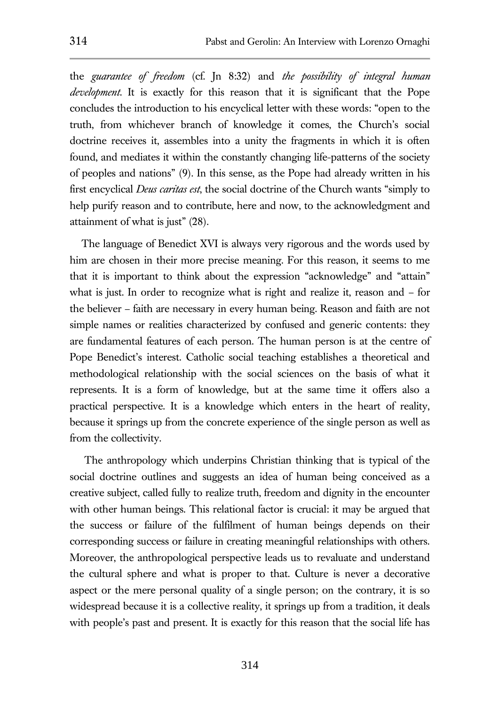the *guarantee of freedom* (cf. Jn 8:32) and *the possibility of integral human development*. It is exactly for this reason that it is significant that the Pope concludes the introduction to his encyclical letter with these words: "open to the truth, from whichever branch of knowledge it comes, the Church's social doctrine receives it, assembles into a unity the fragments in which it is often found, and mediates it within the constantly changing life-patterns of the society of peoples and nations" (9). In this sense, as the Pope had already written in his first encyclical *Deus caritas est*, the social doctrine of the Church wants "simply to help purify reason and to contribute, here and now, to the acknowledgment and attainment of what is just" (28).

 The language of Benedict XVI is always very rigorous and the words used by him are chosen in their more precise meaning. For this reason, it seems to me that it is important to think about the expression "acknowledge" and "attain" what is just. In order to recognize what is right and realize it, reason and – for the believer – faith are necessary in every human being. Reason and faith are not simple names or realities characterized by confused and generic contents: they are fundamental features of each person. The human person is at the centre of Pope Benedict's interest. Catholic social teaching establishes a theoretical and methodological relationship with the social sciences on the basis of what it represents. It is a form of knowledge, but at the same time it offers also a practical perspective. It is a knowledge which enters in the heart of reality, because it springs up from the concrete experience of the single person as well as from the collectivity.

 The anthropology which underpins Christian thinking that is typical of the social doctrine outlines and suggests an idea of human being conceived as a creative subject, called fully to realize truth, freedom and dignity in the encounter with other human beings. This relational factor is crucial: it may be argued that the success or failure of the fulfilment of human beings depends on their corresponding success or failure in creating meaningful relationships with others. Moreover, the anthropological perspective leads us to revaluate and understand the cultural sphere and what is proper to that. Culture is never a decorative aspect or the mere personal quality of a single person; on the contrary, it is so widespread because it is a collective reality, it springs up from a tradition, it deals with people's past and present. It is exactly for this reason that the social life has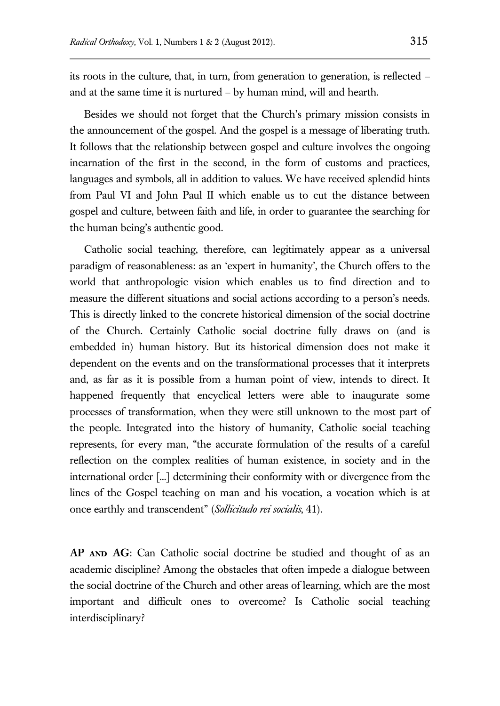its roots in the culture, that, in turn, from generation to generation, is reflected – and at the same time it is nurtured – by human mind, will and hearth.

 Besides we should not forget that the Church's primary mission consists in the announcement of the gospel. And the gospel is a message of liberating truth. It follows that the relationship between gospel and culture involves the ongoing incarnation of the first in the second, in the form of customs and practices, languages and symbols, all in addition to values. We have received splendid hints from Paul VI and John Paul II which enable us to cut the distance between gospel and culture, between faith and life, in order to guarantee the searching for the human being's authentic good.

 Catholic social teaching, therefore, can legitimately appear as a universal paradigm of reasonableness: as an 'expert in humanity', the Church offers to the world that anthropologic vision which enables us to find direction and to measure the different situations and social actions according to a person's needs. This is directly linked to the concrete historical dimension of the social doctrine of the Church. Certainly Catholic social doctrine fully draws on (and is embedded in) human history. But its historical dimension does not make it dependent on the events and on the transformational processes that it interprets and, as far as it is possible from a human point of view, intends to direct. It happened frequently that encyclical letters were able to inaugurate some processes of transformation, when they were still unknown to the most part of the people. Integrated into the history of humanity, Catholic social teaching represents, for every man, "the accurate formulation of the results of a careful reflection on the complex realities of human existence, in society and in the international order [...] determining their conformity with or divergence from the lines of the Gospel teaching on man and his vocation, a vocation which is at once earthly and transcendent" (*Sollicitudo rei socialis*, 41).

AP AND AG: Can Catholic social doctrine be studied and thought of as an academic discipline? Among the obstacles that often impede a dialogue between the social doctrine of the Church and other areas of learning, which are the most important and difficult ones to overcome? Is Catholic social teaching interdisciplinary?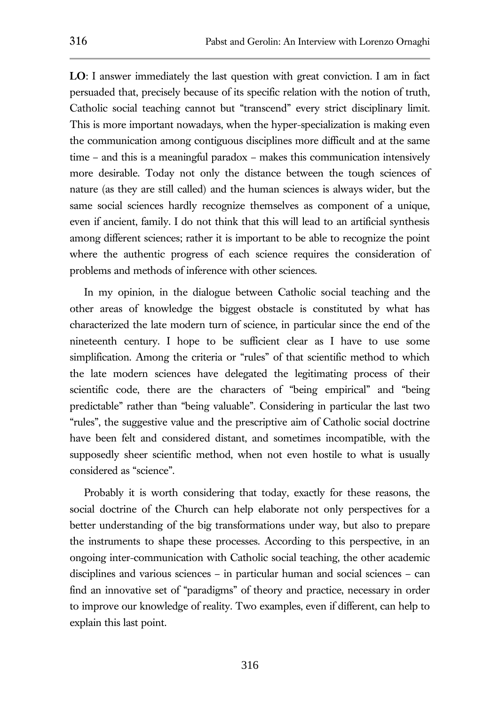**LO**: I answer immediately the last question with great conviction. I am in fact persuaded that, precisely because of its specific relation with the notion of truth, Catholic social teaching cannot but "transcend" every strict disciplinary limit. This is more important nowadays, when the hyper-specialization is making even the communication among contiguous disciplines more difficult and at the same time – and this is a meaningful paradox – makes this communication intensively more desirable. Today not only the distance between the tough sciences of nature (as they are still called) and the human sciences is always wider, but the same social sciences hardly recognize themselves as component of a unique, even if ancient, family. I do not think that this will lead to an artificial synthesis among different sciences; rather it is important to be able to recognize the point where the authentic progress of each science requires the consideration of problems and methods of inference with other sciences.

 In my opinion, in the dialogue between Catholic social teaching and the other areas of knowledge the biggest obstacle is constituted by what has characterized the late modern turn of science, in particular since the end of the nineteenth century. I hope to be sufficient clear as I have to use some simplification. Among the criteria or "rules" of that scientific method to which the late modern sciences have delegated the legitimating process of their scientific code, there are the characters of "being empirical" and "being predictable" rather than "being valuable". Considering in particular the last two "rules", the suggestive value and the prescriptive aim of Catholic social doctrine have been felt and considered distant, and sometimes incompatible, with the supposedly sheer scientific method, when not even hostile to what is usually considered as "science".

 Probably it is worth considering that today, exactly for these reasons, the social doctrine of the Church can help elaborate not only perspectives for a better understanding of the big transformations under way, but also to prepare the instruments to shape these processes. According to this perspective, in an ongoing inter-communication with Catholic social teaching, the other academic disciplines and various sciences – in particular human and social sciences – can find an innovative set of "paradigms" of theory and practice, necessary in order to improve our knowledge of reality. Two examples, even if different, can help to explain this last point.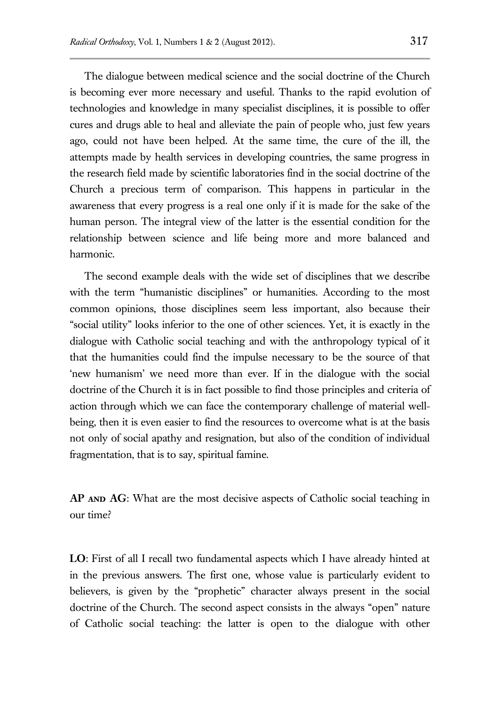The dialogue between medical science and the social doctrine of the Church is becoming ever more necessary and useful. Thanks to the rapid evolution of technologies and knowledge in many specialist disciplines, it is possible to offer cures and drugs able to heal and alleviate the pain of people who, just few years ago, could not have been helped. At the same time, the cure of the ill, the attempts made by health services in developing countries, the same progress in the research field made by scientific laboratories find in the social doctrine of the Church a precious term of comparison. This happens in particular in the awareness that every progress is a real one only if it is made for the sake of the human person. The integral view of the latter is the essential condition for the relationship between science and life being more and more balanced and harmonic.

 The second example deals with the wide set of disciplines that we describe with the term "humanistic disciplines" or humanities. According to the most common opinions, those disciplines seem less important, also because their "social utility" looks inferior to the one of other sciences. Yet, it is exactly in the dialogue with Catholic social teaching and with the anthropology typical of it that the humanities could find the impulse necessary to be the source of that 'new humanism' we need more than ever. If in the dialogue with the social doctrine of the Church it is in fact possible to find those principles and criteria of action through which we can face the contemporary challenge of material wellbeing, then it is even easier to find the resources to overcome what is at the basis not only of social apathy and resignation, but also of the condition of individual fragmentation, that is to say, spiritual famine.

**AP and AG**: What are the most decisive aspects of Catholic social teaching in our time?

**LO**: First of all I recall two fundamental aspects which I have already hinted at in the previous answers. The first one, whose value is particularly evident to believers, is given by the "prophetic" character always present in the social doctrine of the Church. The second aspect consists in the always "open" nature of Catholic social teaching: the latter is open to the dialogue with other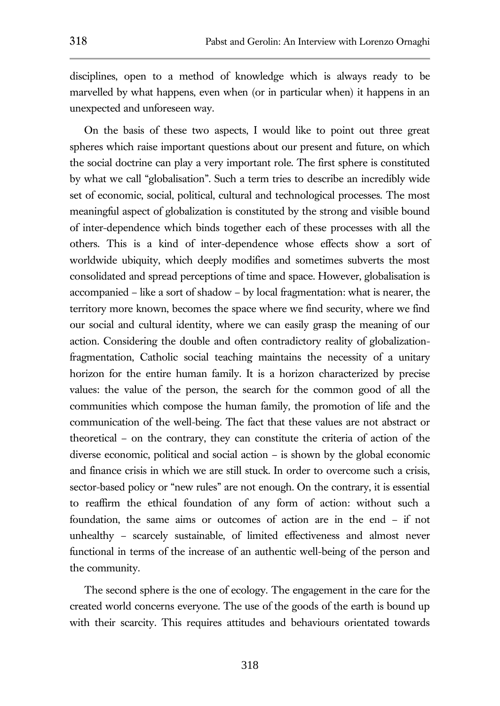disciplines, open to a method of knowledge which is always ready to be marvelled by what happens, even when (or in particular when) it happens in an unexpected and unforeseen way.

 On the basis of these two aspects, I would like to point out three great spheres which raise important questions about our present and future, on which the social doctrine can play a very important role. The first sphere is constituted by what we call "globalisation". Such a term tries to describe an incredibly wide set of economic, social, political, cultural and technological processes. The most meaningful aspect of globalization is constituted by the strong and visible bound of inter-dependence which binds together each of these processes with all the others. This is a kind of inter-dependence whose effects show a sort of worldwide ubiquity, which deeply modifies and sometimes subverts the most consolidated and spread perceptions of time and space. However, globalisation is accompanied – like a sort of shadow – by local fragmentation: what is nearer, the territory more known, becomes the space where we find security, where we find our social and cultural identity, where we can easily grasp the meaning of our action. Considering the double and often contradictory reality of globalizationfragmentation, Catholic social teaching maintains the necessity of a unitary horizon for the entire human family. It is a horizon characterized by precise values: the value of the person, the search for the common good of all the communities which compose the human family, the promotion of life and the communication of the well-being. The fact that these values are not abstract or theoretical – on the contrary, they can constitute the criteria of action of the diverse economic, political and social action – is shown by the global economic and finance crisis in which we are still stuck. In order to overcome such a crisis, sector-based policy or "new rules" are not enough. On the contrary, it is essential to reaffirm the ethical foundation of any form of action: without such a foundation, the same aims or outcomes of action are in the end – if not unhealthy – scarcely sustainable, of limited effectiveness and almost never functional in terms of the increase of an authentic well-being of the person and the community.

 The second sphere is the one of ecology. The engagement in the care for the created world concerns everyone. The use of the goods of the earth is bound up with their scarcity. This requires attitudes and behaviours orientated towards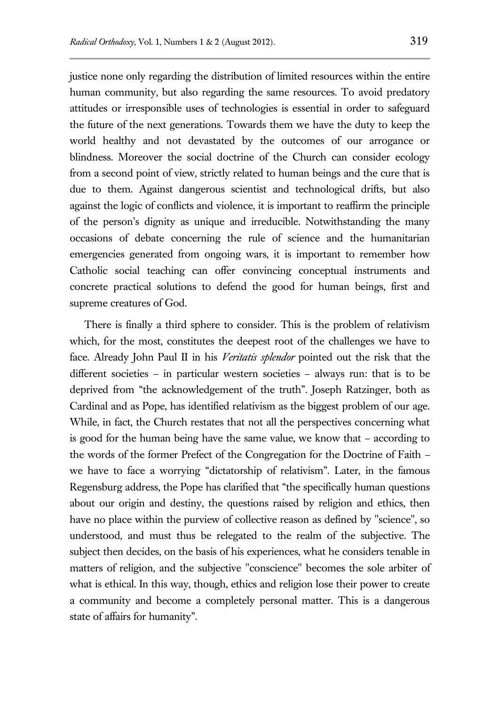justice none only regarding the distribution of limited resources within the entire human community, but also regarding the same resources. To avoid predatory attitudes or irresponsible uses of technologies is essential in order to safeguard the future of the next generations. Towards them we have the duty to keep the world healthy and not devastated by the outcomes of our arrogance or blindness. Moreover the social doctrine of the Church can consider ecology from a second point of view, strictly related to human beings and the cure that is due to them. Against dangerous scientist and technological drifts, but also against the logic of conflicts and violence, it is important to reaffirm the principle of the person's dignity as unique and irreducible. Notwithstanding the many occasions of debate concerning the rule of science and the humanitarian emergencies generated from ongoing wars, it is important to remember how Catholic social teaching can offer convincing conceptual instruments and concrete practical solutions to defend the good for human beings, first and supreme creatures of God.

 There is finally a third sphere to consider. This is the problem of relativism which, for the most, constitutes the deepest root of the challenges we have to face. Already John Paul II in his *Veritatis splendor* pointed out the risk that the different societies – in particular western societies – always run: that is to be deprived from "the acknowledgement of the truth". Joseph Ratzinger, both as Cardinal and as Pope, has identified relativism as the biggest problem of our age. While, in fact, the Church restates that not all the perspectives concerning what is good for the human being have the same value, we know that – according to the words of the former Prefect of the Congregation for the Doctrine of Faith – we have to face a worrying "dictatorship of relativism". Later, in the famous Regensburg address, the Pope has clarified that "the specifically human questions about our origin and destiny, the questions raised by religion and ethics, then have no place within the purview of collective reason as defined by "science", so understood, and must thus be relegated to the realm of the subjective. The subject then decides, on the basis of his experiences, what he considers tenable in matters of religion, and the subjective "conscience" becomes the sole arbiter of what is ethical. In this way, though, ethics and religion lose their power to create a community and become a completely personal matter. This is a dangerous state of affairs for humanity".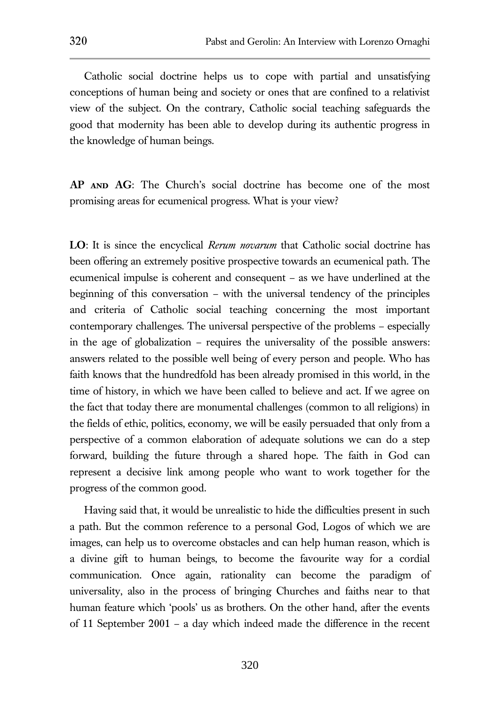Catholic social doctrine helps us to cope with partial and unsatisfying conceptions of human being and society or ones that are confined to a relativist view of the subject. On the contrary, Catholic social teaching safeguards the good that modernity has been able to develop during its authentic progress in the knowledge of human beings.

AP AND AG: The Church's social doctrine has become one of the most promising areas for ecumenical progress. What is your view?

**LO**: It is since the encyclical *Rerum novarum* that Catholic social doctrine has been offering an extremely positive prospective towards an ecumenical path. The ecumenical impulse is coherent and consequent – as we have underlined at the beginning of this conversation – with the universal tendency of the principles and criteria of Catholic social teaching concerning the most important contemporary challenges. The universal perspective of the problems – especially in the age of globalization – requires the universality of the possible answers: answers related to the possible well being of every person and people. Who has faith knows that the hundredfold has been already promised in this world, in the time of history, in which we have been called to believe and act. If we agree on the fact that today there are monumental challenges (common to all religions) in the fields of ethic, politics, economy, we will be easily persuaded that only from a perspective of a common elaboration of adequate solutions we can do a step forward, building the future through a shared hope. The faith in God can represent a decisive link among people who want to work together for the progress of the common good.

 Having said that, it would be unrealistic to hide the difficulties present in such a path. But the common reference to a personal God, Logos of which we are images, can help us to overcome obstacles and can help human reason, which is a divine gift to human beings, to become the favourite way for a cordial communication. Once again, rationality can become the paradigm of universality, also in the process of bringing Churches and faiths near to that human feature which 'pools' us as brothers. On the other hand, after the events of 11 September 2001 – a day which indeed made the difference in the recent